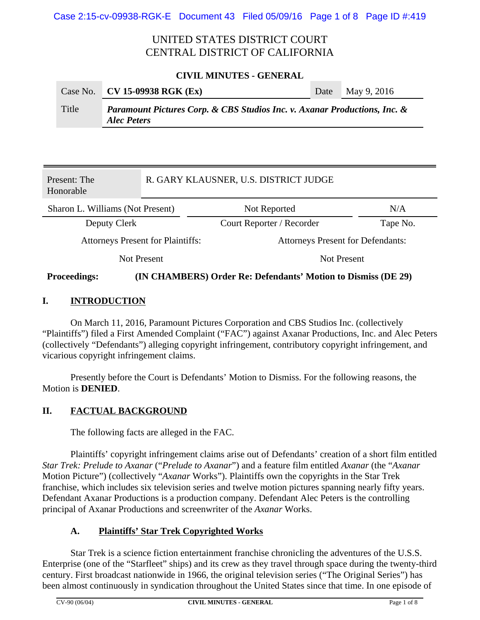# UNITED STATES DISTRICT COURT CENTRAL DISTRICT OF CALIFORNIA

#### **CIVIL MINUTES - GENERAL**

|       | Case No. $CV 15-09938 RGK (Ex)$                                                                 | Date | May 9, 2016 |
|-------|-------------------------------------------------------------------------------------------------|------|-------------|
| Title | Paramount Pictures Corp. & CBS Studios Inc. v. Axanar Productions, Inc. &<br><b>Alec Peters</b> |      |             |

| Present: The<br>Honorable                |             | R. GARY KLAUSNER, U.S. DISTRICT JUDGE    |          |  |
|------------------------------------------|-------------|------------------------------------------|----------|--|
| Sharon L. Williams (Not Present)         |             | Not Reported                             | N/A      |  |
| Deputy Clerk                             |             | Court Reporter / Recorder                | Tape No. |  |
| <b>Attorneys Present for Plaintiffs:</b> |             | <b>Attorneys Present for Defendants:</b> |          |  |
|                                          | Not Present | <b>Not Present</b>                       |          |  |
|                                          |             |                                          |          |  |

#### **Proceedings: (IN CHAMBERS) Order Re: Defendants' Motion to Dismiss (DE 29)**

### **I. INTRODUCTION**

On March 11, 2016, Paramount Pictures Corporation and CBS Studios Inc. (collectively "Plaintiffs") filed a First Amended Complaint ("FAC") against Axanar Productions, Inc. and Alec Peters (collectively "Defendants") alleging copyright infringement, contributory copyright infringement, and vicarious copyright infringement claims.

Presently before the Court is Defendants' Motion to Dismiss. For the following reasons, the Motion is **DENIED**.

### **II. FACTUAL BACKGROUND**

The following facts are alleged in the FAC.

Plaintiffs' copyright infringement claims arise out of Defendants' creation of a short film entitled *Star Trek: Prelude to Axanar* ("*Prelude to Axanar*") and a feature film entitled *Axanar* (the "*Axanar* Motion Picture") (collectively "*Axanar* Works"). Plaintiffs own the copyrights in the Star Trek franchise, which includes six television series and twelve motion pictures spanning nearly fifty years. Defendant Axanar Productions is a production company. Defendant Alec Peters is the controlling principal of Axanar Productions and screenwriter of the *Axanar* Works.

### **A. Plaintiffs' Star Trek Copyrighted Works**

Star Trek is a science fiction entertainment franchise chronicling the adventures of the U.S.S. Enterprise (one of the "Starfleet" ships) and its crew as they travel through space during the twenty-third century. First broadcast nationwide in 1966, the original television series ("The Original Series") has been almost continuously in syndication throughout the United States since that time. In one episode of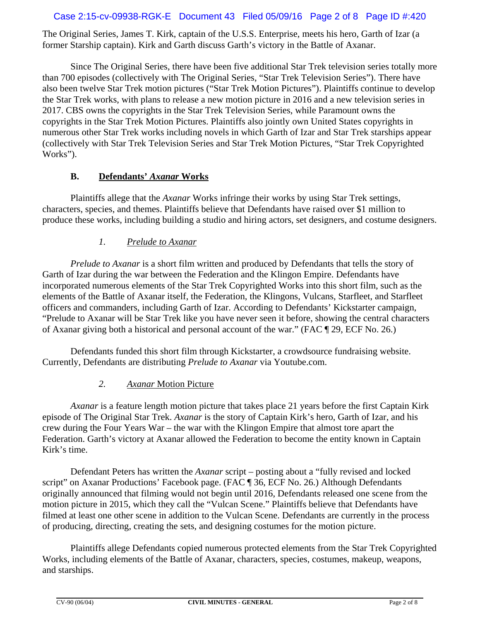#### Case 2:15-cv-09938-RGK-E Document 43 Filed 05/09/16 Page 2 of 8 Page ID #:420

The Original Series, James T. Kirk, captain of the U.S.S. Enterprise, meets his hero, Garth of Izar (a former Starship captain). Kirk and Garth discuss Garth's victory in the Battle of Axanar.

Since The Original Series, there have been five additional Star Trek television series totally more than 700 episodes (collectively with The Original Series, "Star Trek Television Series"). There have also been twelve Star Trek motion pictures ("Star Trek Motion Pictures"). Plaintiffs continue to develop the Star Trek works, with plans to release a new motion picture in 2016 and a new television series in 2017. CBS owns the copyrights in the Star Trek Television Series, while Paramount owns the copyrights in the Star Trek Motion Pictures. Plaintiffs also jointly own United States copyrights in numerous other Star Trek works including novels in which Garth of Izar and Star Trek starships appear (collectively with Star Trek Television Series and Star Trek Motion Pictures, "Star Trek Copyrighted Works").

# **B. Defendants'** *Axanar* **Works**

Plaintiffs allege that the *Axanar* Works infringe their works by using Star Trek settings, characters, species, and themes. Plaintiffs believe that Defendants have raised over \$1 million to produce these works, including building a studio and hiring actors, set designers, and costume designers.

# *1. Prelude to Axanar*

*Prelude to Axanar* is a short film written and produced by Defendants that tells the story of Garth of Izar during the war between the Federation and the Klingon Empire. Defendants have incorporated numerous elements of the Star Trek Copyrighted Works into this short film, such as the elements of the Battle of Axanar itself, the Federation, the Klingons, Vulcans, Starfleet, and Starfleet officers and commanders, including Garth of Izar. According to Defendants' Kickstarter campaign, "Prelude to Axanar will be Star Trek like you have never seen it before, showing the central characters of Axanar giving both a historical and personal account of the war." (FAC ¶ 29, ECF No. 26.)

Defendants funded this short film through Kickstarter, a crowdsource fundraising website. Currently, Defendants are distributing *Prelude to Axanar* via Youtube.com.

*2. Axanar* Motion Picture

*Axanar* is a feature length motion picture that takes place 21 years before the first Captain Kirk episode of The Original Star Trek. *Axanar* is the story of Captain Kirk's hero, Garth of Izar, and his crew during the Four Years War – the war with the Klingon Empire that almost tore apart the Federation. Garth's victory at Axanar allowed the Federation to become the entity known in Captain Kirk's time.

Defendant Peters has written the *Axanar* script – posting about a "fully revised and locked script" on Axanar Productions' Facebook page. (FAC ¶ 36, ECF No. 26.) Although Defendants originally announced that filming would not begin until 2016, Defendants released one scene from the motion picture in 2015, which they call the "Vulcan Scene." Plaintiffs believe that Defendants have filmed at least one other scene in addition to the Vulcan Scene. Defendants are currently in the process of producing, directing, creating the sets, and designing costumes for the motion picture.

Plaintiffs allege Defendants copied numerous protected elements from the Star Trek Copyrighted Works, including elements of the Battle of Axanar, characters, species, costumes, makeup, weapons, and starships.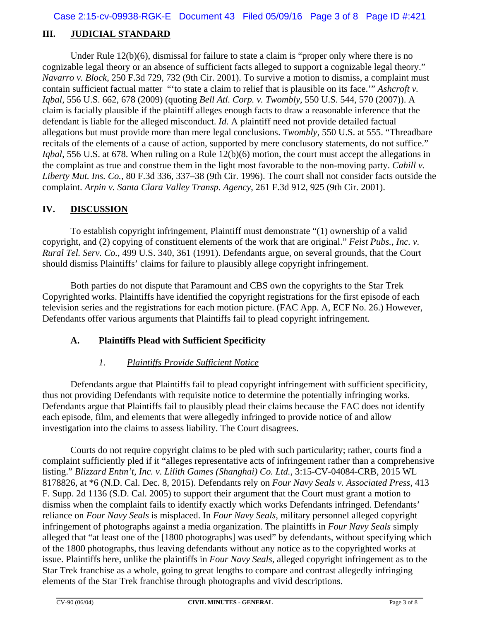# **III. JUDICIAL STANDARD**

Under Rule 12(b)(6), dismissal for failure to state a claim is "proper only where there is no cognizable legal theory or an absence of sufficient facts alleged to support a cognizable legal theory." *Navarro v. Block*, 250 F.3d 729, 732 (9th Cir. 2001). To survive a motion to dismiss, a complaint must contain sufficient factual matter "'to state a claim to relief that is plausible on its face.'" *Ashcroft v. Iqbal*, 556 U.S. 662, 678 (2009) (quoting *Bell Atl. Corp. v. Twombly*, 550 U.S. 544, 570 (2007)). A claim is facially plausible if the plaintiff alleges enough facts to draw a reasonable inference that the defendant is liable for the alleged misconduct. *Id.* A plaintiff need not provide detailed factual allegations but must provide more than mere legal conclusions. *Twombly*, 550 U.S. at 555. "Threadbare recitals of the elements of a cause of action, supported by mere conclusory statements, do not suffice." *Iqbal*, 556 U.S. at 678. When ruling on a Rule 12(b)(6) motion, the court must accept the allegations in the complaint as true and construe them in the light most favorable to the non-moving party. *Cahill v. Liberty Mut. Ins. Co.*, 80 F.3d 336, 337–38 (9th Cir. 1996). The court shall not consider facts outside the complaint. *Arpin v. Santa Clara Valley Transp. Agency*, 261 F.3d 912, 925 (9th Cir. 2001).

# **IV. DISCUSSION**

To establish copyright infringement, Plaintiff must demonstrate "(1) ownership of a valid copyright, and (2) copying of constituent elements of the work that are original." *Feist Pubs., Inc. v. Rural Tel. Serv. Co.*, 499 U.S. 340, 361 (1991). Defendants argue, on several grounds, that the Court should dismiss Plaintiffs' claims for failure to plausibly allege copyright infringement.

Both parties do not dispute that Paramount and CBS own the copyrights to the Star Trek Copyrighted works. Plaintiffs have identified the copyright registrations for the first episode of each television series and the registrations for each motion picture. (FAC App. A, ECF No. 26.) However, Defendants offer various arguments that Plaintiffs fail to plead copyright infringement.

### **A. Plaintiffs Plead with Sufficient Specificity**

### *1. Plaintiffs Provide Sufficient Notice*

Defendants argue that Plaintiffs fail to plead copyright infringement with sufficient specificity, thus not providing Defendants with requisite notice to determine the potentially infringing works. Defendants argue that Plaintiffs fail to plausibly plead their claims because the FAC does not identify each episode, film, and elements that were allegedly infringed to provide notice of and allow investigation into the claims to assess liability. The Court disagrees.

Courts do not require copyright claims to be pled with such particularity; rather, courts find a complaint sufficiently pled if it "alleges representative acts of infringement rather than a comprehensive listing." *Blizzard Entm't, Inc. v. Lilith Games (Shanghai) Co. Ltd.*, 3:15-CV-04084-CRB, 2015 WL 8178826, at \*6 (N.D. Cal. Dec. 8, 2015). Defendants rely on *Four Navy Seals v. Associated Press*, 413 F. Supp. 2d 1136 (S.D. Cal. 2005) to support their argument that the Court must grant a motion to dismiss when the complaint fails to identify exactly which works Defendants infringed. Defendants' reliance on *Four Navy Seals* is misplaced. In *Four Navy Seals*, military personnel alleged copyright infringement of photographs against a media organization. The plaintiffs in *Four Navy Seals* simply alleged that "at least one of the [1800 photographs] was used" by defendants, without specifying which of the 1800 photographs, thus leaving defendants without any notice as to the copyrighted works at issue. Plaintiffs here, unlike the plaintiffs in *Four Navy Seals*, alleged copyright infringement as to the Star Trek franchise as a whole, going to great lengths to compare and contrast allegedly infringing elements of the Star Trek franchise through photographs and vivid descriptions.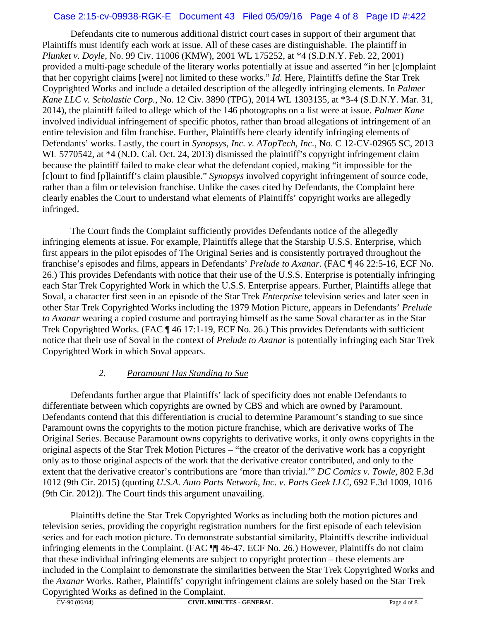#### Case 2:15-cv-09938-RGK-E Document 43 Filed 05/09/16 Page 4 of 8 Page ID #:422

Defendants cite to numerous additional district court cases in support of their argument that Plaintiffs must identify each work at issue. All of these cases are distinguishable. The plaintiff in *Plunket v. Doyle*, No. 99 Civ. 11006 (KMW), 2001 WL 175252, at \*4 (S.D.N.Y. Feb. 22, 2001) provided a multi-page schedule of the literary works potentially at issue and asserted "in her [c]omplaint that her copyright claims [were] not limited to these works." *Id.* Here, Plaintiffs define the Star Trek Coyprighted Works and include a detailed description of the allegedly infringing elements. In *Palmer Kane LLC v. Scholastic Corp.*, No. 12 Civ. 3890 (TPG), 2014 WL 1303135, at \*3-4 (S.D.N.Y. Mar. 31, 2014), the plaintiff failed to allege which of the 146 photographs on a list were at issue. *Palmer Kane* involved individual infringement of specific photos, rather than broad allegations of infringement of an entire television and film franchise. Further, Plaintiffs here clearly identify infringing elements of Defendants' works. Lastly, the court in *Synopsys, Inc. v. ATopTech, Inc.*, No. C 12-CV-02965 SC, 2013 WL 5770542, at  $*4$  (N.D. Cal. Oct. 24, 2013) dismissed the plaintiff's copyright infringement claim because the plaintiff failed to make clear what the defendant copied, making "it impossible for the [c]ourt to find [p]laintiff's claim plausible." *Synopsys* involved copyright infringement of source code, rather than a film or television franchise. Unlike the cases cited by Defendants, the Complaint here clearly enables the Court to understand what elements of Plaintiffs' copyright works are allegedly infringed.

The Court finds the Complaint sufficiently provides Defendants notice of the allegedly infringing elements at issue. For example, Plaintiffs allege that the Starship U.S.S. Enterprise, which first appears in the pilot episodes of The Original Series and is consistently portrayed throughout the franchise's episodes and films, appears in Defendants' *Prelude to Axanar*. (FAC ¶ 46 22:5-16, ECF No. 26.) This provides Defendants with notice that their use of the U.S.S. Enterprise is potentially infringing each Star Trek Copyrighted Work in which the U.S.S. Enterprise appears. Further, Plaintiffs allege that Soval, a character first seen in an episode of the Star Trek *Enterprise* television series and later seen in other Star Trek Copyrighted Works including the 1979 Motion Picture, appears in Defendants' *Prelude to Axanar* wearing a copied costume and portraying himself as the same Soval character as in the Star Trek Copyrighted Works. (FAC ¶ 46 17:1-19, ECF No. 26.) This provides Defendants with sufficient notice that their use of Soval in the context of *Prelude to Axanar* is potentially infringing each Star Trek Copyrighted Work in which Soval appears.

### *2. Paramount Has Standing to Sue*

Defendants further argue that Plaintiffs' lack of specificity does not enable Defendants to differentiate between which copyrights are owned by CBS and which are owned by Paramount. Defendants contend that this differentiation is crucial to determine Paramount's standing to sue since Paramount owns the copyrights to the motion picture franchise, which are derivative works of The Original Series. Because Paramount owns copyrights to derivative works, it only owns copyrights in the original aspects of the Star Trek Motion Pictures – "the creator of the derivative work has a copyright only as to those original aspects of the work that the derivative creator contributed, and only to the extent that the derivative creator's contributions are 'more than trivial.'" *DC Comics v. Towle*, 802 F.3d 1012 (9th Cir. 2015) (quoting *U.S.A. Auto Parts Network, Inc. v. Parts Geek LLC*, 692 F.3d 1009, 1016 (9th Cir. 2012)). The Court finds this argument unavailing.

Plaintiffs define the Star Trek Copyrighted Works as including both the motion pictures and television series, providing the copyright registration numbers for the first episode of each television series and for each motion picture. To demonstrate substantial similarity, Plaintiffs describe individual infringing elements in the Complaint. (FAC ¶¶ 46-47, ECF No. 26.) However, Plaintiffs do not claim that these individual infringing elements are subject to copyright protection – these elements are included in the Complaint to demonstrate the similarities between the Star Trek Copyrighted Works and the *Axanar* Works. Rather, Plaintiffs' copyright infringement claims are solely based on the Star Trek Copyrighted Works as defined in the Complaint.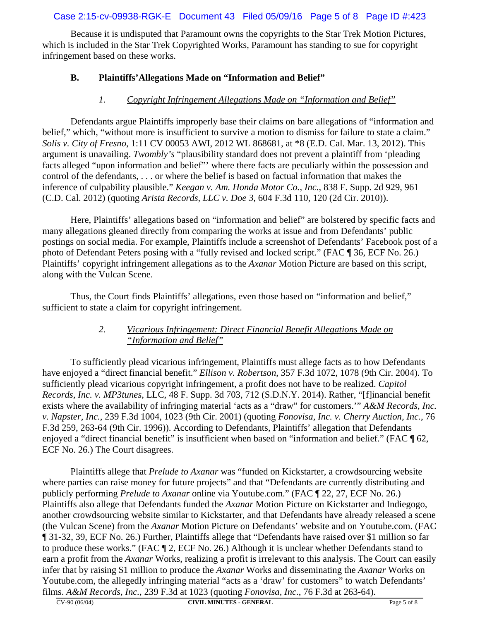### Case 2:15-cv-09938-RGK-E Document 43 Filed 05/09/16 Page 5 of 8 Page ID #:423

Because it is undisputed that Paramount owns the copyrights to the Star Trek Motion Pictures, which is included in the Star Trek Copyrighted Works, Paramount has standing to sue for copyright infringement based on these works.

### **B. Plaintiffs'Allegations Made on "Information and Belief"**

#### *1. Copyright Infringement Allegations Made on "Information and Belief"*

Defendants argue Plaintiffs improperly base their claims on bare allegations of "information and belief," which, "without more is insufficient to survive a motion to dismiss for failure to state a claim." *Solis v. City of Fresno*, 1:11 CV 00053 AWI, 2012 WL 868681, at \*8 (E.D. Cal. Mar. 13, 2012). This argument is unavailing. *Twombly's* "plausibility standard does not prevent a plaintiff from 'pleading facts alleged "upon information and belief"' where there facts are peculiarly within the possession and control of the defendants, . . . or where the belief is based on factual information that makes the inference of culpability plausible." *Keegan v. Am. Honda Motor Co., Inc.*, 838 F. Supp. 2d 929, 961 (C.D. Cal. 2012) (quoting *Arista Records, LLC v. Doe 3*, 604 F.3d 110, 120 (2d Cir. 2010)).

Here, Plaintiffs' allegations based on "information and belief" are bolstered by specific facts and many allegations gleaned directly from comparing the works at issue and from Defendants' public postings on social media. For example, Plaintiffs include a screenshot of Defendants' Facebook post of a photo of Defendant Peters posing with a "fully revised and locked script." (FAC ¶ 36, ECF No. 26.) Plaintiffs' copyright infringement allegations as to the *Axanar* Motion Picture are based on this script, along with the Vulcan Scene.

Thus, the Court finds Plaintiffs' allegations, even those based on "information and belief," sufficient to state a claim for copyright infringement.

#### *2. Vicarious Infringement: Direct Financial Benefit Allegations Made on "Information and Belief"*

To sufficiently plead vicarious infringement, Plaintiffs must allege facts as to how Defendants have enjoyed a "direct financial benefit." *Ellison v. Robertson*, 357 F.3d 1072, 1078 (9th Cir. 2004). To sufficiently plead vicarious copyright infringement, a profit does not have to be realized. *Capitol Records, Inc. v. MP3tunes*, LLC, 48 F. Supp. 3d 703, 712 (S.D.N.Y. 2014). Rather, "[f]inancial benefit exists where the availability of infringing material 'acts as a "draw" for customers.'" *A&M Records, Inc. v. Napster, Inc.*, 239 F.3d 1004, 1023 (9th Cir. 2001) (quoting *Fonovisa, Inc. v. Cherry Auction, Inc.*, 76 F.3d 259, 263-64 (9th Cir. 1996)). According to Defendants, Plaintiffs' allegation that Defendants enjoyed a "direct financial benefit" is insufficient when based on "information and belief." (FAC ¶ 62, ECF No. 26.) The Court disagrees.

Plaintiffs allege that *Prelude to Axanar* was "funded on Kickstarter, a crowdsourcing website where parties can raise money for future projects" and that "Defendants are currently distributing and publicly performing *Prelude to Axanar* online via Youtube.com." (FAC ¶ 22, 27, ECF No. 26.) Plaintiffs also allege that Defendants funded the *Axanar* Motion Picture on Kickstarter and Indiegogo, another crowdsourcing website similar to Kickstarter, and that Defendants have already released a scene (the Vulcan Scene) from the *Axanar* Motion Picture on Defendants' website and on Youtube.com. (FAC ¶ 31-32, 39, ECF No. 26.) Further, Plaintiffs allege that "Defendants have raised over \$1 million so far to produce these works." (FAC ¶ 2, ECF No. 26.) Although it is unclear whether Defendants stand to earn a profit from the *Axanar* Works, realizing a profit is irrelevant to this analysis. The Court can easily infer that by raising \$1 million to produce the *Axanar* Works and disseminating the *Axanar* Works on Youtube.com, the allegedly infringing material "acts as a 'draw' for customers" to watch Defendants' films. *A&M Records, Inc.*, 239 F.3d at 1023 (quoting *Fonovisa, Inc.*, 76 F.3d at 263-64).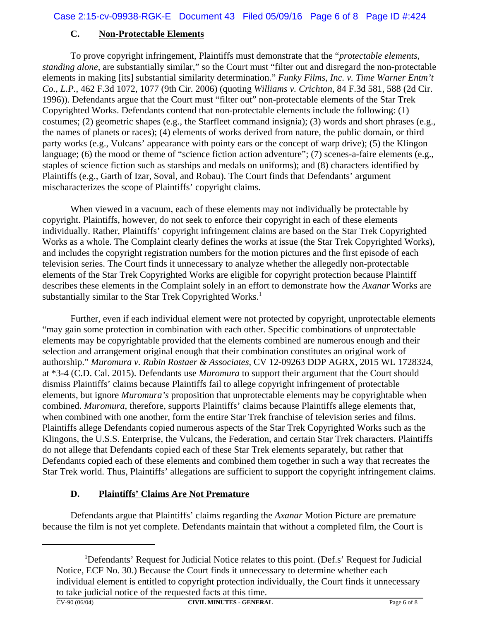#### **C. Non-Protectable Elements**

To prove copyright infringement, Plaintiffs must demonstrate that the "*protectable elements, standing alone*, are substantially similar," so the Court must "filter out and disregard the non-protectable elements in making [its] substantial similarity determination." *Funky Films, Inc. v. Time Warner Entm't Co., L.P.*, 462 F.3d 1072, 1077 (9th Cir. 2006) (quoting *Williams v. Crichton*, 84 F.3d 581, 588 (2d Cir. 1996)). Defendants argue that the Court must "filter out" non-protectable elements of the Star Trek Copyrighted Works. Defendants contend that non-protectable elements include the following: (1) costumes; (2) geometric shapes (e.g., the Starfleet command insignia); (3) words and short phrases (e.g., the names of planets or races); (4) elements of works derived from nature, the public domain, or third party works (e.g., Vulcans' appearance with pointy ears or the concept of warp drive); (5) the Klingon language; (6) the mood or theme of "science fiction action adventure"; (7) scenes-a-faire elements (e.g., staples of science fiction such as starships and medals on uniforms); and (8) characters identified by Plaintiffs (e.g., Garth of Izar, Soval, and Robau). The Court finds that Defendants' argument mischaracterizes the scope of Plaintiffs' copyright claims.

When viewed in a vacuum, each of these elements may not individually be protectable by copyright. Plaintiffs, however, do not seek to enforce their copyright in each of these elements individually. Rather, Plaintiffs' copyright infringement claims are based on the Star Trek Copyrighted Works as a whole. The Complaint clearly defines the works at issue (the Star Trek Copyrighted Works), and includes the copyright registration numbers for the motion pictures and the first episode of each television series. The Court finds it unnecessary to analyze whether the allegedly non-protectable elements of the Star Trek Copyrighted Works are eligible for copyright protection because Plaintiff describes these elements in the Complaint solely in an effort to demonstrate how the *Axanar* Works are substantially similar to the Star Trek Copyrighted Works.<sup>1</sup>

Further, even if each individual element were not protected by copyright, unprotectable elements "may gain some protection in combination with each other. Specific combinations of unprotectable elements may be copyrightable provided that the elements combined are numerous enough and their selection and arrangement original enough that their combination constitutes an original work of authorship." *Muromura v. Rubin Rostaer & Associates*, CV 12-09263 DDP AGRX, 2015 WL 1728324, at \*3-4 (C.D. Cal. 2015). Defendants use *Muromura* to support their argument that the Court should dismiss Plaintiffs' claims because Plaintiffs fail to allege copyright infringement of protectable elements, but ignore *Muromura's* proposition that unprotectable elements may be copyrightable when combined. *Muromura*, therefore, supports Plaintiffs' claims because Plaintiffs allege elements that, when combined with one another, form the entire Star Trek franchise of television series and films. Plaintiffs allege Defendants copied numerous aspects of the Star Trek Copyrighted Works such as the Klingons, the U.S.S. Enterprise, the Vulcans, the Federation, and certain Star Trek characters. Plaintiffs do not allege that Defendants copied each of these Star Trek elements separately, but rather that Defendants copied each of these elements and combined them together in such a way that recreates the Star Trek world. Thus, Plaintiffs' allegations are sufficient to support the copyright infringement claims.

## **D. Plaintiffs' Claims Are Not Premature**

Defendants argue that Plaintiffs' claims regarding the *Axanar* Motion Picture are premature because the film is not yet complete. Defendants maintain that without a completed film, the Court is

<sup>&</sup>lt;sup>1</sup>Defendants' Request for Judicial Notice relates to this point. (Def.s' Request for Judicial Notice, ECF No. 30.) Because the Court finds it unnecessary to determine whether each individual element is entitled to copyright protection individually, the Court finds it unnecessary to take judicial notice of the requested facts at this time.<br> $\frac{C_{V-90(06/04)}}{C_{V}}$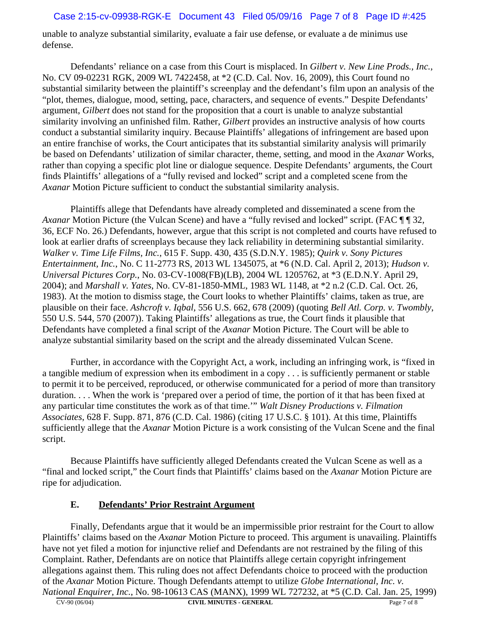#### Case 2:15-cv-09938-RGK-E Document 43 Filed 05/09/16 Page 7 of 8 Page ID #:425

unable to analyze substantial similarity, evaluate a fair use defense, or evaluate a de minimus use defense.

Defendants' reliance on a case from this Court is misplaced. In *Gilbert v. New Line Prods., Inc.*, No. CV 09-02231 RGK, 2009 WL 7422458, at \*2 (C.D. Cal. Nov. 16, 2009), this Court found no substantial similarity between the plaintiff's screenplay and the defendant's film upon an analysis of the "plot, themes, dialogue, mood, setting, pace, characters, and sequence of events." Despite Defendants' argument, *Gilbert* does not stand for the proposition that a court is unable to analyze substantial similarity involving an unfinished film. Rather, *Gilbert* provides an instructive analysis of how courts conduct a substantial similarity inquiry. Because Plaintiffs' allegations of infringement are based upon an entire franchise of works, the Court anticipates that its substantial similarity analysis will primarily be based on Defendants' utilization of similar character, theme, setting, and mood in the *Axanar* Works, rather than copying a specific plot line or dialogue sequence. Despite Defendants' arguments, the Court finds Plaintiffs' allegations of a "fully revised and locked" script and a completed scene from the *Axanar* Motion Picture sufficient to conduct the substantial similarity analysis.

Plaintiffs allege that Defendants have already completed and disseminated a scene from the *Axanar* Motion Picture (the Vulcan Scene) and have a "fully revised and locked" script. (FAC ¶ ¶ 32, 36, ECF No. 26.) Defendants, however, argue that this script is not completed and courts have refused to look at earlier drafts of screenplays because they lack reliability in determining substantial similarity. *Walker v. Time Life Films, Inc.*, 615 F. Supp. 430, 435 (S.D.N.Y. 1985); *Quirk v. Sony Pictures Entertainment, Inc.*, No. C 11-2773 RS, 2013 WL 1345075, at \*6 (N.D. Cal. April 2, 2013); *Hudson v. Universal Pictures Corp.*, No. 03-CV-1008(FB)(LB), 2004 WL 1205762, at \*3 (E.D.N.Y. April 29, 2004); and *Marshall v. Yates*, No. CV-81-1850-MML, 1983 WL 1148, at \*2 n.2 (C.D. Cal. Oct. 26, 1983). At the motion to dismiss stage, the Court looks to whether Plaintiffs' claims, taken as true, are plausible on their face. *Ashcroft v. Iqbal*, 556 U.S. 662, 678 (2009) (quoting *Bell Atl. Corp. v. Twombly*, 550 U.S. 544, 570 (2007)). Taking Plaintiffs' allegations as true, the Court finds it plausible that Defendants have completed a final script of the *Axanar* Motion Picture. The Court will be able to analyze substantial similarity based on the script and the already disseminated Vulcan Scene.

Further, in accordance with the Copyright Act, a work, including an infringing work, is "fixed in a tangible medium of expression when its embodiment in a copy . . . is sufficiently permanent or stable to permit it to be perceived, reproduced, or otherwise communicated for a period of more than transitory duration. . . . When the work is 'prepared over a period of time, the portion of it that has been fixed at any particular time constitutes the work as of that time.'" *Walt Disney Productions v. Filmation Associates*, 628 F. Supp. 871, 876 (C.D. Cal. 1986) (citing 17 U.S.C. § 101). At this time, Plaintiffs sufficiently allege that the *Axanar* Motion Picture is a work consisting of the Vulcan Scene and the final script.

Because Plaintiffs have sufficiently alleged Defendants created the Vulcan Scene as well as a "final and locked script," the Court finds that Plaintiffs' claims based on the *Axanar* Motion Picture are ripe for adjudication.

#### **E. Defendants' Prior Restraint Argument**

Finally, Defendants argue that it would be an impermissible prior restraint for the Court to allow Plaintiffs' claims based on the *Axanar* Motion Picture to proceed. This argument is unavailing. Plaintiffs have not yet filed a motion for injunctive relief and Defendants are not restrained by the filing of this Complaint. Rather, Defendants are on notice that Plaintiffs allege certain copyright infringement allegations against them. This ruling does not affect Defendants choice to proceed with the production of the *Axanar* Motion Picture. Though Defendants attempt to utilize *Globe International, Inc. v. National Enquirer, Inc.*, No. 98-10613 CAS (MANX), 1999 WL 727232, at \*5 (C.D. Cal. Jan. 25, 1999)